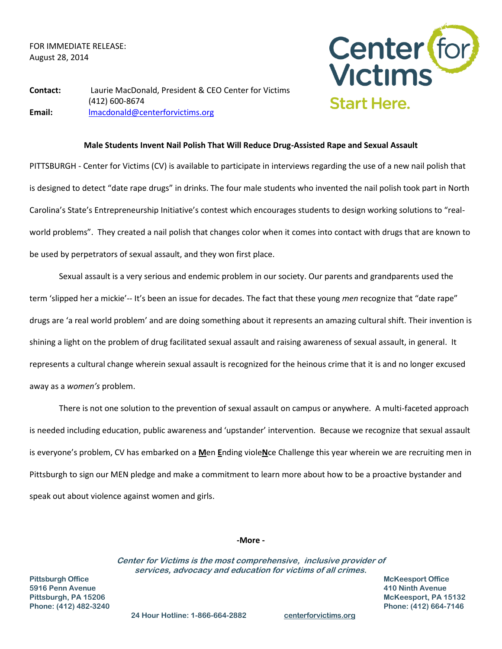FOR IMMEDIATE RELEASE: August 28, 2014



**Contact:** Laurie MacDonald, President & CEO Center for Victims (412) 600-8674 **Email:** [lmacdonald@centerforvictims.org](mailto:lmacdonald@centerforvictims.org)

## **Male Students Invent Nail Polish That Will Reduce Drug-Assisted Rape and Sexual Assault**

PITTSBURGH - Center for Victims (CV) is available to participate in interviews regarding the use of a new nail polish that is designed to detect "date rape drugs" in drinks. The four male students who invented the nail polish took part in North Carolina's State's Entrepreneurship Initiative's contest which encourages students to design working solutions to "realworld problems". They created a nail polish that changes color when it comes into contact with drugs that are known to be used by perpetrators of sexual assault, and they won first place.

Sexual assault is a very serious and endemic problem in our society. Our parents and grandparents used the term 'slipped her a mickie'-- It's been an issue for decades. The fact that these young *men* recognize that "date rape" drugs are 'a real world problem' and are doing something about it represents an amazing cultural shift. Their invention is shining a light on the problem of drug facilitated sexual assault and raising awareness of sexual assault, in general. It represents a cultural change wherein sexual assault is recognized for the heinous crime that it is and no longer excused away as a *women's* problem.

There is not one solution to the prevention of sexual assault on campus or anywhere. A multi-faceted approach is needed including education, public awareness and 'upstander' intervention. Because we recognize that sexual assault is everyone's problem, CV has embarked on a **M**en **E**nding viole**N**ce Challenge this year wherein we are recruiting men in Pittsburgh to sign our MEN pledge and make a commitment to learn more about how to be a proactive bystander and speak out about violence against women and girls.

## **-More -**

**Center for Victims is the most comprehensive, inclusive provider of services, advocacy and education for victims of all crimes.**

**Pittsburgh Office McKeesport Office 5916 Penn Avenue 410 Ninth Avenue**

**Pittsburgh, PA 15206 McKeesport, PA 15132 Phone: (412) 482-3240 Phone: (412) 664-7146** 

 **24 Hour Hotline: 1-866-664-2882 centerforvictims.org**